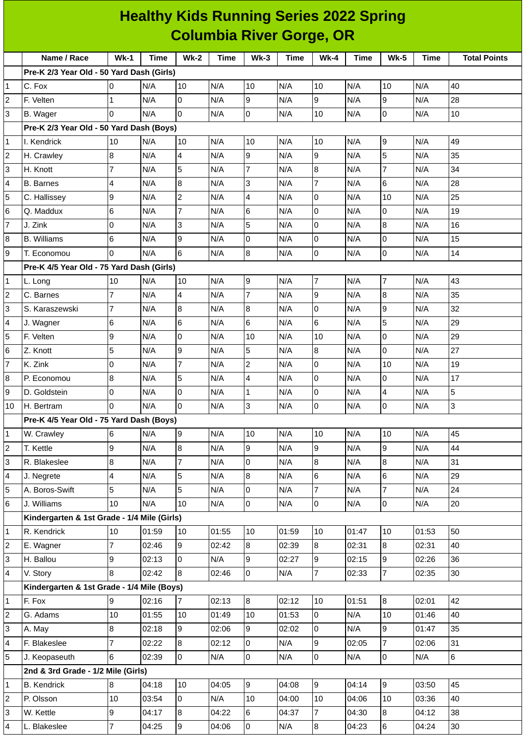| <b>Healthy Kids Running Series 2022 Spring</b> |                                             |                |             |                          |       |                |             |                |             |                |             |                     |
|------------------------------------------------|---------------------------------------------|----------------|-------------|--------------------------|-------|----------------|-------------|----------------|-------------|----------------|-------------|---------------------|
|                                                | <b>Columbia River Gorge, OR</b>             |                |             |                          |       |                |             |                |             |                |             |                     |
|                                                | Name / Race                                 | $Wk-1$         | <b>Time</b> | $Wk-2$                   | Time  | $Wk-3$         | <b>Time</b> | $Wk-4$         | <b>Time</b> | <b>Wk-5</b>    | <b>Time</b> | <b>Total Points</b> |
|                                                | Pre-K 2/3 Year Old - 50 Yard Dash (Girls)   |                |             |                          |       |                |             |                |             |                |             |                     |
| 1                                              | C. Fox                                      | 0              | N/A         | 10                       | N/A   | 10             | N/A         | 10             | N/A         | 10             | N/A         | 40                  |
| 2                                              | F. Velten                                   | 1              | N/A         | 0                        | N/A   | 9              | N/A         | 9              | N/A         | 9              | N/A         | 28                  |
| 3                                              | B. Wager                                    | $\Omega$       | N/A         | $\Omega$                 | N/A   | $\overline{0}$ | N/A         | 10             | N/A         | $\Omega$       | N/A         | 10                  |
|                                                | Pre-K 2/3 Year Old - 50 Yard Dash (Boys)    |                |             |                          |       |                |             |                |             |                |             |                     |
| 1                                              | I. Kendrick                                 | 10             | N/A         | 10                       | N/A   | 10             | N/A         | 10             | N/A         | 9              | N/A         | 49                  |
| 2                                              | H. Crawley                                  | $\bf{8}$       | N/A         | 4                        | N/A   | 9              | N/A         | 9              | N/A         | 5              | N/A         | 35                  |
| 3                                              | H. Knott                                    | $\overline{7}$ | N/A         | 5                        | N/A   | 7              | N/A         | 8              | N/A         | 7              | N/A         | 34                  |
| 4                                              | <b>B.</b> Barnes                            | 4              | N/A         | 8                        | N/A   | 3              | N/A         | $\overline{7}$ | N/A         | 6              | N/A         | 28                  |
| 5                                              | C. Hallissey                                | 9              | N/A         | $\overline{c}$           | N/A   | $\overline{4}$ | N/A         | l0             | N/A         | 10             | N/A         | 25                  |
| 6                                              | Q. Maddux                                   | 6              | N/A         | $\overline{7}$           | N/A   | 6              | N/A         | l0             | N/A         | 0              | N/A         | 19                  |
| 7                                              | J. Zink                                     | $\overline{0}$ | N/A         | 3                        | N/A   | 5              | N/A         | l0             | N/A         | 8              | N/A         | 16                  |
| 8                                              | <b>B.</b> Williams                          | 6              | N/A         | 9                        | N/A   | 0              | N/A         | l0             | N/A         | 0              | N/A         | 15                  |
| 9                                              | T. Economou                                 | $\Omega$       | N/A         | 6                        | N/A   | 8              | N/A         | l0             | N/A         | 0              | N/A         | 14                  |
|                                                | Pre-K 4/5 Year Old - 75 Yard Dash (Girls)   |                |             |                          |       |                |             |                |             |                |             |                     |
| 1                                              | L. Long                                     | 10             | N/A         | 10                       | N/A   | 9              | N/A         | 7              | N/A         | $\overline{7}$ | N/A         | 43                  |
| 2                                              | C. Barnes                                   | $\overline{7}$ | N/A         | $\overline{\mathcal{L}}$ | N/A   | $\overline{7}$ | N/A         | 9              | N/A         | 8              | N/A         | 35                  |
| 3                                              | S. Karaszewski                              | $\overline{7}$ | N/A         | 8                        | N/A   | 8              | N/A         | l0             | N/A         | 9              | N/A         | 32                  |
| 4                                              | J. Wagner                                   | 6              | N/A         | 6                        | N/A   | 6              | N/A         | 6              | N/A         | 5              | N/A         | 29                  |
| 5                                              | F. Velten                                   | 9              | N/A         | $\overline{0}$           | N/A   | 10             | N/A         | 10             | N/A         | 0              | N/A         | 29                  |
| 6                                              | Z. Knott                                    | 5              | N/A         | 9                        | N/A   | 5              | N/A         | 8              | N/A         | 0              | N/A         | 27                  |
| 7                                              | K. Zink                                     | 0              | N/A         | $\overline{7}$           | N/A   | $\overline{c}$ | N/A         | l0             | N/A         | 10             | N/A         | 19                  |
| 8                                              | P. Economou                                 | 8              | N/A         | 5                        | N/A   | 4              | N/A         | l0             | N/A         | 0              | N/A         | 17                  |
| 9                                              | D. Goldstein                                | 0              | N/A         | 0                        | N/A   | $\mathbf{1}$   | N/A         | 0              | N/A         | 4              | N/A         | 5                   |
| 10                                             | H. Bertram                                  | 0              | N/A         | 0                        | N/A   | $\overline{3}$ | N/A         | l0             | N/A         | $\overline{0}$ | N/A         | $\overline{3}$      |
|                                                | Pre-K 4/5 Year Old - 75 Yard Dash (Boys)    |                |             |                          |       |                |             |                |             |                |             |                     |
| 1                                              | W. Crawley                                  | $\,$ 6         | N/A         | 9                        | N/A   | 10             | N/A         | 10             | N/A         | 10             | N/A         | 45                  |
| 2                                              | T. Kettle                                   | 9              | N/A         | $\bf{8}$                 | N/A   | $\overline{9}$ | N/A         | 9              | N/A         | 9              | N/A         | 44                  |
| 3                                              | R. Blakeslee                                | 8              | N/A         | 7                        | N/A   | 0              | N/A         | 8              | N/A         | 8              | N/A         | 31                  |
| 4                                              | J. Negrete                                  | 4              | N/A         | 5                        | N/A   | 8              | N/A         | 6              | N/A         | 6              | N/A         | 29                  |
| 5                                              | A. Boros-Swift                              | 5              | N/A         | 5                        | N/A   | $\overline{0}$ | N/A         | $\overline{7}$ | N/A         | $\overline{7}$ | N/A         | 24                  |
| 6                                              | J. Williams                                 | 10             | N/A         | 10                       | N/A   | $\overline{0}$ | N/A         | $\overline{0}$ | N/A         | 0              | N/A         | 20                  |
|                                                | Kindergarten & 1st Grade - 1/4 Mile (Girls) |                |             |                          |       |                |             |                |             |                |             |                     |
| 1                                              | R. Kendrick                                 | 10             | 01:59       | 10                       | 01:55 | 10             | 01:59       | 10             | 01:47       | 10             | 01:53       | 50                  |
| 2                                              | E. Wagner                                   | 7              | 02:46       | 9                        | 02:42 | $8\,$          | 02:39       | 8              | 02:31       | 8              | 02:31       | 40                  |
| 3                                              | H. Ballou                                   | 9              | 02:13       | $\mathsf 0$              | N/A   | 9              | 02:27       | g              | 02:15       | 9              | 02:26       | 36                  |
| 4                                              | V. Story                                    | 8              | 02:42       | 8                        | 02:46 | $\overline{0}$ | N/A         | $\overline{7}$ | 02:33       | $\overline{7}$ | 02:35       | 30                  |
|                                                | Kindergarten & 1st Grade - 1/4 Mile (Boys)  |                |             |                          |       |                |             |                |             |                |             |                     |
| 1                                              | F. Fox                                      | 9              | 02:16       | $\overline{7}$           | 02:13 | $8\,$          | 02:12       | 10             | 01:51       | 8              | 02:01       | 42                  |
| $\overline{c}$                                 | G. Adams                                    | 10             | 01:55       | 10                       | 01:49 | 10             | 01:53       | 0              | N/A         | 10             | 01:46       | 40                  |
| 3                                              | A. May                                      | 8              | 02:18       | 9                        | 02:06 | 9              | 02:02       | 0              | N/A         | 9              | 01:47       | 35                  |
| 4                                              | F. Blakeslee                                | $\overline{7}$ | 02:22       | 8                        | 02:12 | 0              | N/A         | 9              | 02:05       | $\overline{7}$ | 02:06       | 31                  |
| 5                                              | J. Keopaseuth                               | 6              | 02:39       | O                        | N/A   | $\overline{0}$ | N/A         | 0              | N/A         | $\overline{0}$ | N/A         | $\,6\,$             |
|                                                | 2nd & 3rd Grade - 1/2 Mile (Girls)          |                |             |                          |       |                |             |                |             |                |             |                     |
| 1                                              | <b>B.</b> Kendrick                          | 8              | 04:18       | 10                       | 04:05 | $\overline{9}$ | 04:08       | 9              | 04:14       | 9              | 03:50       | 45                  |
| 2                                              | P. Olsson                                   | 10             | 03:54       | 0                        | N/A   | 10             | 04:00       | 10             | 04:06       | 10             | 03:36       | 40                  |
| 3                                              | W. Kettle                                   | 9              | 04:17       | 8                        | 04:22 | 6              | 04:37       | $\overline{7}$ | 04:30       | 8              | 04:12       | 38                  |
| 4                                              | L. Blakeslee                                | $\overline{7}$ | 04:25       | 9                        | 04:06 | $\overline{0}$ | N/A         | 8              | 04:23       | 6              | 04:24       | 30                  |